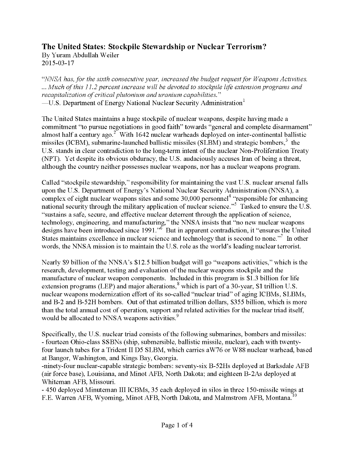## **The United States: Stockpile Stewardship or Nuclear Terrorism?**

By Yuram Abdullah Weiler 2015-03-17

*"NNSA has, for the sixth consecutive year, increased the budget requestfor Weapons Activities. ...Much ofthis 11.2 percent increase will be devoted to stockpile life extension programs and recapitalization of critical plutonium and uranium capabilities.*" —U.S. Department of Energy National Nuclear Security Administration $^1$ 

The United States maintains a huge stockpile of nuclear weapons, despite having made a commitment "to pursue negotiations in good faith" towards "general and complete disarmament" almost half a century ago.<sup> $2^{\circ}$ </sup> With 1642 nuclear warheads deployed on inter-continental ballistic missiles (ICBM), submarine-launched ballistic missiles (SLBM) and strategic bombers, $3$  the U.S. stands in clear contradiction to the long-term intent of the nuclear Non-Proliferation Treaty (NPT). Yet despite its obvious obduracy, the U.S. audaciously accuses Iran of being a threat, although the country neither possesses nuclear weapons, nor has a nuclear weapons program.

Called "stockpile stewardship," responsibility for maintaining the vast U.S. nuclear arsenal falls upon the U.S. Department of Energy's National Nuclear Security Administration (NNSA), a complex of eight nuclear weapons sites and some 30,000 personnel<sup>4</sup> "responsible for enhancing national security through the military application of nuclear science."<sup>5</sup> Tasked to ensure the U.S. "sustains a safe, secure, and effective nuclear deterrent through the application of science, technology, engineering, and manufacturing," the NNSA insists that "no new nuclear weapons designs have been introduced since 1991.<sup>56</sup> But in apparent contradiction, it "ensures the United States maintains excellence in nuclear science and technology that is second to none.<sup> $\frac{1}{2}$ </sup> In other words, the NNSA mission is to maintain the U.S. role as the world's leading nuclear terrorist.

Nearly \$9 billion of the NNSA's \$12.5 billion budget will go "weapons activities," which is the research, development, testing and evaluation of the nuclear weapons stockpile and the manufacture of nuclear weapon components. Included in this program is \$1.3 billion for life extension programs (LEP) and major alterations,<sup>8</sup> which is part of a 30-year, \$1 trillion U.S. nuclear weapons modernization effort of its so-called "nuclear triad" of aging ICBMs, SLBMs, and B-2 and B-52H bombers. Out of that estimated trillion dollars, \$355 billion, which is more than the total annual cost of operation, support and related activities for the nuclear triad itself, would be allocated to NNSA weapons activities.<sup>9</sup>

Specifically, the U.S. nuclear triad consists of the following submarines, bombers and missiles: - fourteen Ohio-class SSBNs (ship, submersible, ballistic missile, nuclear), each with twentyfour launch tubes for a Trident II D5 SLBM, which carries aW76 or W88 nuclear warhead, based at Bangor, Washington, and Kings Bay, Georgia.

-ninety-four nuclear-capable strategic bombers: seventy-six B-52Hs deployed at Barksdale AFB (air force base), Louisiana, and Minot AFB, North Dakota; and eighteen B-2As deployed at Whiteman AFB, Missouri.

- 450 deployed Minuteman III ICBMs, 35 each deployed in silos in three 150-missile wings at F.E. Warren AFB, Wyoming, Minot AFB, North Dakota, and Malmstrom AFB, Montana.<sup>10</sup>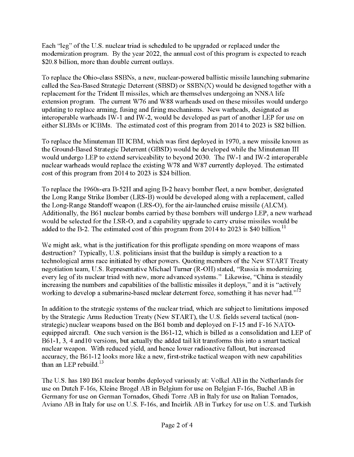Each "leg" of the U.S. nuclear triad is scheduled to be upgraded or replaced under the modernization program. By the year 2022, the annual cost of this program is expected to reach \$20.8 billion, more than double current outlays.

To replace the Ohio-class SSBNs, a new, nuclear-powered ballistic missile launching submarine called the Sea-Based Strategic Deterrent (SBSD) or SSBN(X) would be designed together with a replacement for the Trident II missiles, which are themselves undergoing an NNSA life extension program. The current W76 and W88 warheads used on these missiles would undergo updating to replace arming, fusing and firing mechanisms. New warheads, designated as interoperable warheads IW-1 and IW-2, would be developed as part of another LEP for use on either SLBMs or ICBMs. The estimated cost of this program from 2014 to 2023 is \$82 billion.

To replace the Minuteman III ICBM, which was first deployed in 1970, a new missile known as the Ground-Based Strategic Deterrent (GBSD) would be developed while the Minuteman III would undergo LEP to extend serviceability to beyond 2030. The IW-1 and IW-2 interoperable nuclear warheads would replace the existing W78 and W87 currently deployed. The estimated cost of this program from 2014 to 2023 is \$24 billion.

To replace the 1960s-era B-52H and aging B-2 heavy bomber fleet, a new bomber, designated the Long Range Strike Bomber (LRS-B) would be developed along with a replacement, called the Long-Range Standoff weapon (LRS-O), for the air-launched cruise missile (ALCM). Additionally, the B61 nuclear bombs carried by these bombers will undergo LEP, a new warhead would be selected for the LSR-O, and a capability upgrade to carry cruise missiles would be added to the B-2. The estimated cost of this program from 2014 to 2023 is \$40 billion.<sup>11</sup>

We might ask, what is the justification for this profligate spending on more weapons of mass destruction? Typically, U.S. politicians insist that the buildup is simply a reaction to a technological arms race initiated by other powers. Quoting members of the New START Treaty negotiation team, U.S. Representative Michael Turner (R-OH) stated, "Russia is modernizing every leg of its nuclear triad with new, more advanced systems." Likewise, "China is steadily increasing the numbers and capabilities of the ballistic missiles it deploys," and it is "actively working to develop a submarine-based nuclear deterrent force, something it has never had."<sup>12</sup>

In addition to the strategic systems of the nuclear triad, which are subject to limitations imposed by the Strategic Arms Reduction Treaty (New START), the U.S. fields several tactical (nonstrategic) nuclear weapons based on the B61 bomb and deployed on F-15 and F-16 NATOequipped aircraft. One such version is the B61-12, which is billed as a consolidation and LEP of B61-1, 3, 4 and 10 versions, but actually the added tail kit transforms this into a smart tactical nuclear weapon. With reduced yield, and hence lower radioactive fallout, but increased accuracy, the B61-12 looks more like a new, first-strike tactical weapon with new capabilities than an LEP rebuild. $13$ 

The U.S. has 180 B61 nuclear bombs deployed variously at: Volkel AB in the Netherlands for use on Dutch F-16s, Kleine Brogel AB in Belgium for use on Belgian F-16s, Buchel AB in Germany for use on German Tornados, Ghedi Torre AB in Italy for use on Italian Tornados, Aviano AB in Italy for use on U.S. F-16s, and Incirlik AB in Turkey for use on U.S. and Turkish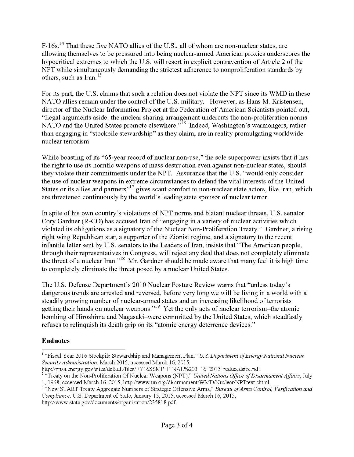F-16s.<sup>14</sup> That these five NATO allies of the U.S., all of whom are non-nuclear states, are allowing themselves to be pressured into being nuclear-armed American proxies underscores the hypocritical extremes to which the U.S. will resort in explicit contravention of Article 2 of the NPT while simultaneously demanding the strictest adherence to nonproliferation standards by others, such as Iran.<sup>15</sup>

For its part, the U.S. claims that such a relation does not violate the NPT since its WMD in these NATO allies remain under the control of the U.S. military. However, as Hans M. Kristensen, director of the Nuclear Information Project at the Federation of American Scientists pointed out, "Legal arguments aside: the nuclear sharing arrangement undercuts the non-proliferation norms NATO and the United States promote elsewhere."<sup>16</sup> Indeed, Washington's warmongers, rather than engaging in "stockpile stewardship" as they claim, are in reality promulgating worldwide nuclear terrorism.

While boasting of its "65-year record of nuclear non-use," the sole superpower insists that it has the right to use its horrific weapons of mass destruction even against non-nuclear states, should they violate their commitments under the NPT. Assurance that the U.S. "would only consider the use of nuclear weapons in extreme circumstances to defend the vital interests of the United States or its allies and partners $17$  gives scant comfort to non-nuclear state actors, like Iran, which are threatened continuously by the world's leading state sponsor of nuclear terror.

In spite of his own country's violations of NPT norms and blatant nuclear threats, U.S. senator Cory Gardner (R-CO) has accused Iran of "engaging in a variety of nuclear activities which violated its obligations as a signatory of the Nuclear Non-Proliferation Treaty." Gardner, a rising right wing Republican star, a supporter of the Zionist regime, and a signatory to the recent infantile letter sent by U.S. senators to the Leaders of Iran, insists that "The American people, through their representatives in Congress, will reject any deal that does not completely eliminate the threat of a nuclear Iran."<sup>18</sup> Mr. Gardner should be made aware that many feel it is high time to completely eliminate the threat posed by a nuclear United States.

The U.S. Defense Department's 2010 Nuclear Posture Review warns that "unless today's dangerous trends are arrested and reversed, before very long we will be living in a world with a steadily growing number of nuclear-armed states and an increasing likelihood of terrorists getting their hands on nuclear weapons."19 Yetthe only acts of nuclear terrorism-the atomic bombing of Hiroshima and Nagasaki-were committed by the United States, which steadfastly refuses to relinquish its death grip on its "atomic energy deterrence devices."

## **Endnotes**

http://nnsa.energy.gov/sites/default/files/FY16SSMP\_FINAL%203\_16\_2015\_reducedsize.pdf.

http://www.state.gov/documents/organization/235818.pdf.

<sup>&</sup>lt;sup>1</sup> "Fiscal Year 2016 Stockpile Stewardship and Management Plan," *U.S. Department of Energy National Nuclear SecurityAdministration,* March 2015, accessed March 16, 2015,

<sup>&</sup>lt;sup>2</sup> "Treaty on the Non-Proliferation Of Nuclear Weapons (NPT)," *United Nations Office of Disarmament Affairs*, July 1, 1968, accessed March 16, 2015, http://www.un.org/disarmament/WMD/Nuclear/NPTtext.shtml.

<sup>&</sup>lt;sup>3</sup> "New START Treaty Aggregate Numbers of Strategic Offensive Arms," *Bureau of Arms Control, Verification and Compliance,* U.S. Department of State, January 15, 2015, accessed March 16, 2015,